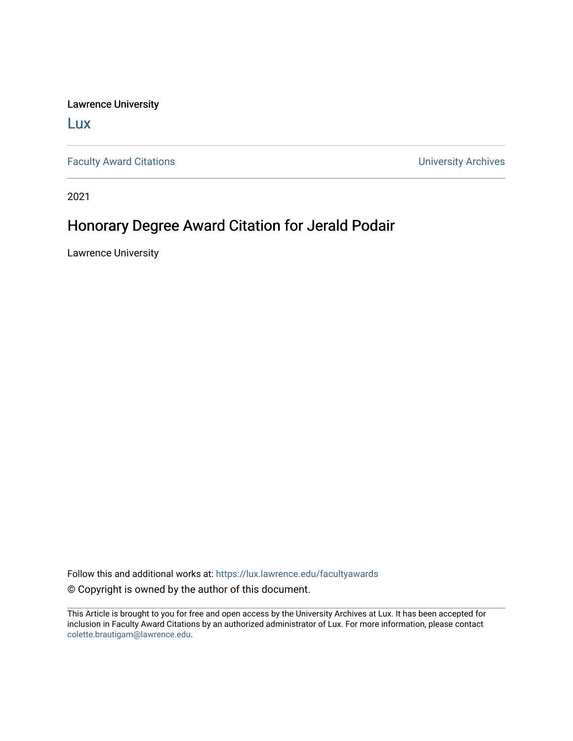Lawrence University

[Lux](https://lux.lawrence.edu/)

[Faculty Award Citations](https://lux.lawrence.edu/facultyawards) **Example 2018** 2019 12:30 November 2019 12:30 November 2019 12:30 November 2019 12:30

2021

## Honorary Degree Award Citation for Jerald Podair

Lawrence University

Follow this and additional works at: [https://lux.lawrence.edu/facultyawards](https://lux.lawrence.edu/facultyawards?utm_source=lux.lawrence.edu%2Ffacultyawards%2F209&utm_medium=PDF&utm_campaign=PDFCoverPages)  © Copyright is owned by the author of this document.

This Article is brought to you for free and open access by the University Archives at Lux. It has been accepted for inclusion in Faculty Award Citations by an authorized administrator of Lux. For more information, please contact [colette.brautigam@lawrence.edu.](mailto:colette.brautigam@lawrence.edu)